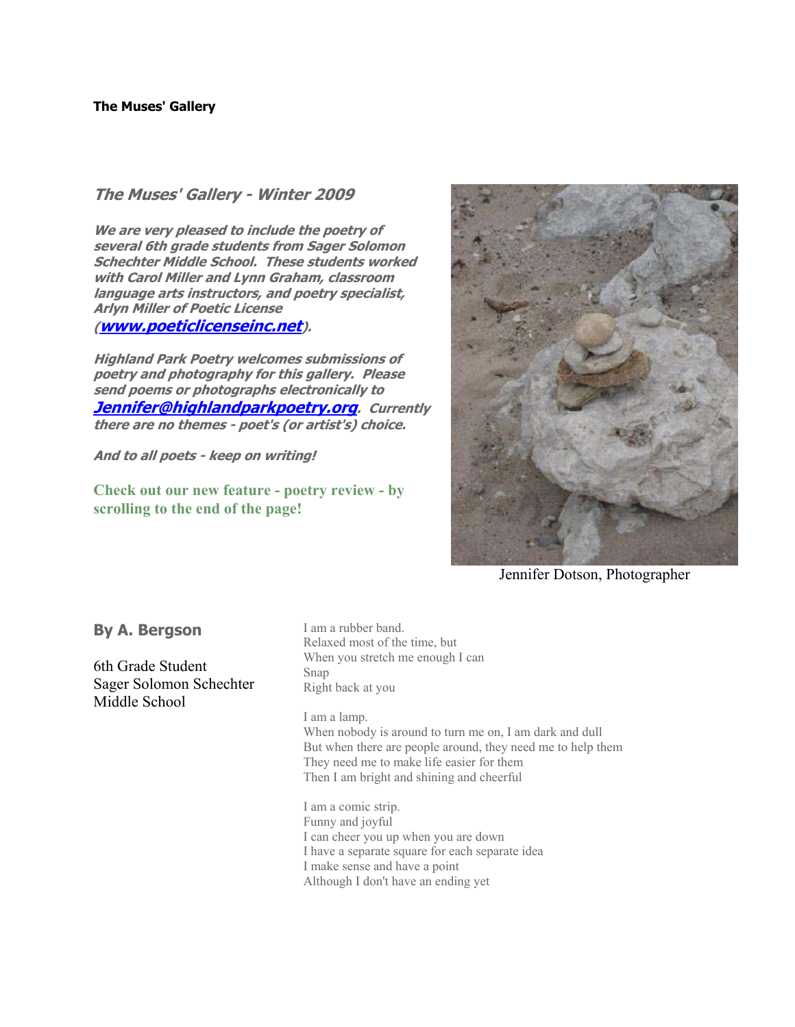#### **The Muses' Gallery**

#### **The Muses' Gallery - Winter 2009**

**We are very pleased to include the poetry of several 6th grade students from Sager Solomon Schechter Middle School. These students worked with Carol Miller and Lynn Graham, classroom language arts instructors, and poetry specialist, Arlyn Miller of Poetic License** 

**(www.poeticlicenseinc.net).** 

**Highland Park Poetry welcomes submissions of poetry and photography for this gallery. Please send poems or photographs electronically to Jennifer@highlandparkpoetry.org. Currently there are no themes - poet's (or artist's) choice.** 

**And to all poets - keep on writing!**

**Check out our new feature - poetry review - by scrolling to the end of the page!**



Jennifer Dotson, Photographer

#### **By A. Bergson**

6th Grade Student Sager Solomon Schechter Middle School

I am a rubber band. Relaxed most of the time, but When you stretch me enough I can Snap Right back at you

I am a lamp. When nobody is around to turn me on, I am dark and dull But when there are people around, they need me to help them They need me to make life easier for them Then I am bright and shining and cheerful

I am a comic strip. Funny and joyful I can cheer you up when you are down I have a separate square for each separate idea I make sense and have a point Although I don't have an ending yet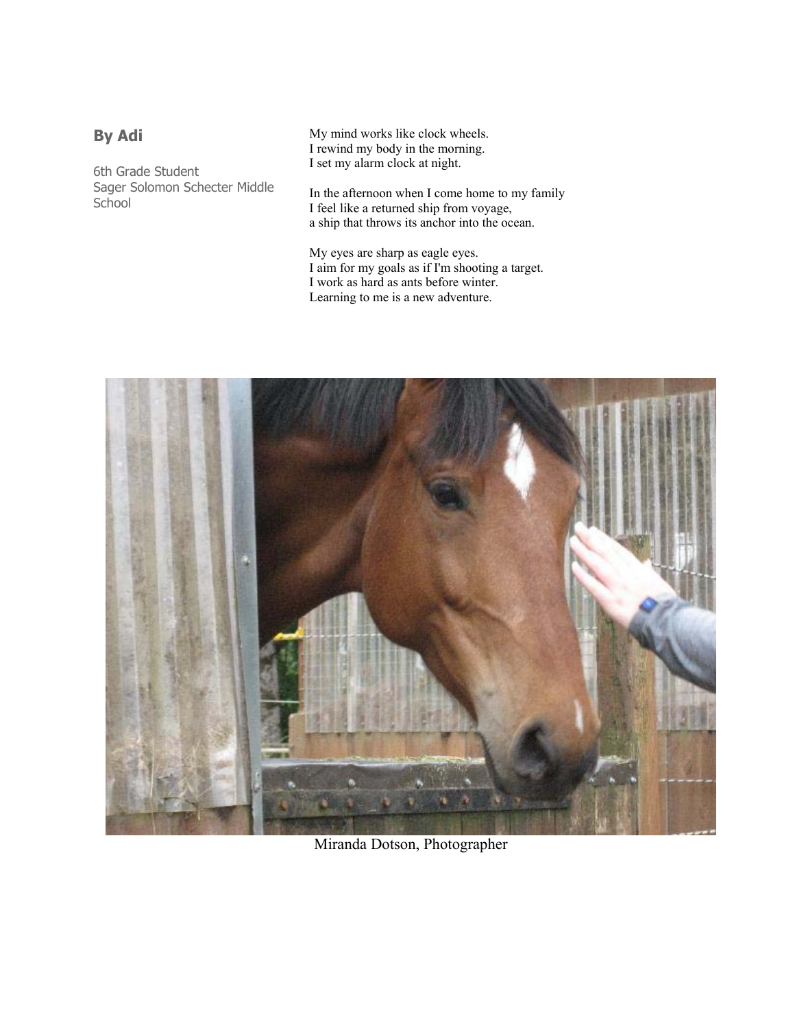# **By Adi**

6th Grade Student Sager Solomon Schecter Middle School

My mind works like clock wheels. I rewind my body in the morning. I set my alarm clock at night.

In the afternoon when I come home to my family I feel like a returned ship from voyage, a ship that throws its anchor into the ocean.

My eyes are sharp as eagle eyes. I aim for my goals as if I'm shooting a target. I work as hard as ants before winter. Learning to me is a new adventure.



Miranda Dotson, Photographer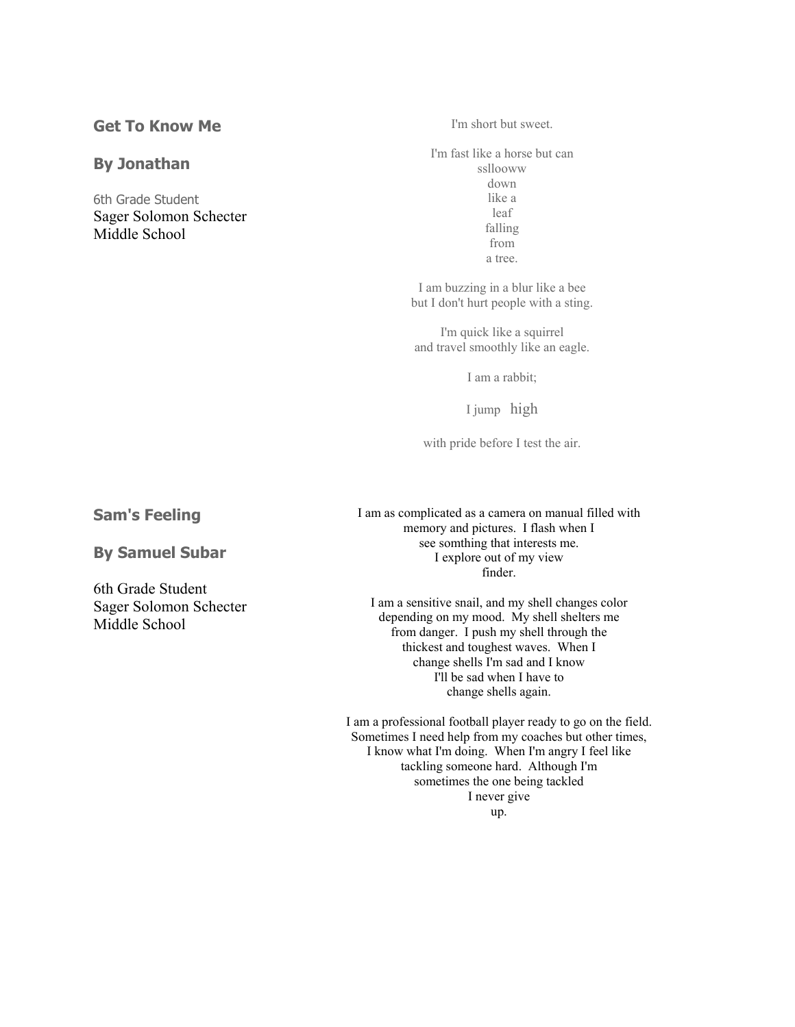#### **Get To Know Me**

#### **By Jonathan**

6th Grade Student Sager Solomon Schecter Middle School

I'm short but sweet.

I'm fast like a horse but can ssllooww down like a leaf falling from a tree.

I am buzzing in a blur like a bee but I don't hurt people with a sting.

I'm quick like a squirrel and travel smoothly like an eagle.

I am a rabbit;

I jump high

with pride before I test the air.

**Sam's Feeling** 

**By Samuel Subar** 

6th Grade Student Sager Solomon Schecter Middle School

I am as complicated as a camera on manual filled with memory and pictures. I flash when I see somthing that interests me. I explore out of my view finder.

I am a sensitive snail, and my shell changes color depending on my mood. My shell shelters me from danger. I push my shell through the thickest and toughest waves. When I change shells I'm sad and I know I'll be sad when I have to change shells again.

I am a professional football player ready to go on the field. Sometimes I need help from my coaches but other times, I know what I'm doing. When I'm angry I feel like tackling someone hard. Although I'm sometimes the one being tackled I never give up.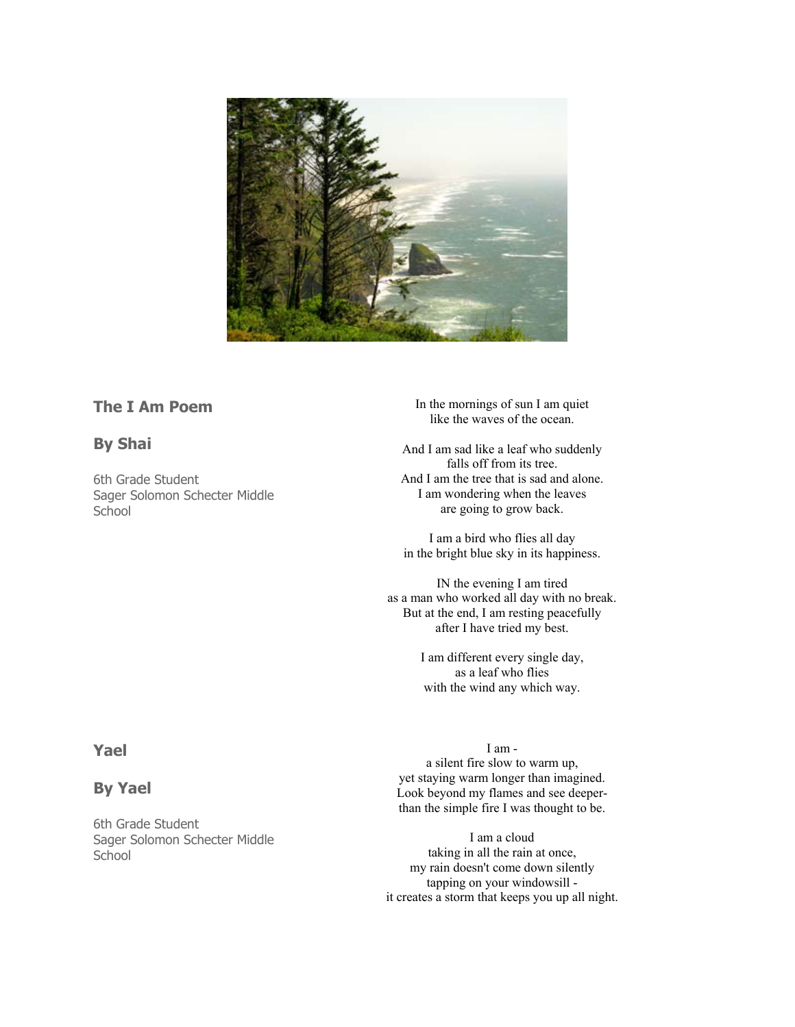

# **The I Am Poem**

# **By Shai**

6th Grade Student Sager Solomon Schecter Middle **School** 

In the mornings of sun I am quiet like the waves of the ocean.

And I am sad like a leaf who suddenly falls off from its tree. And I am the tree that is sad and alone. I am wondering when the leaves are going to grow back.

I am a bird who flies all day in the bright blue sky in its happiness.

IN the evening I am tired as a man who worked all day with no break. But at the end, I am resting peacefully after I have tried my best.

> I am different every single day, as a leaf who flies with the wind any which way.

I am a silent fire slow to warm up, yet staying warm longer than imagined. Look beyond my flames and see deeperthan the simple fire I was thought to be.

I am a cloud taking in all the rain at once, my rain doesn't come down silently tapping on your windowsill it creates a storm that keeps you up all night.

# **Yael**

# **By Yael**

6th Grade Student Sager Solomon Schecter Middle **School**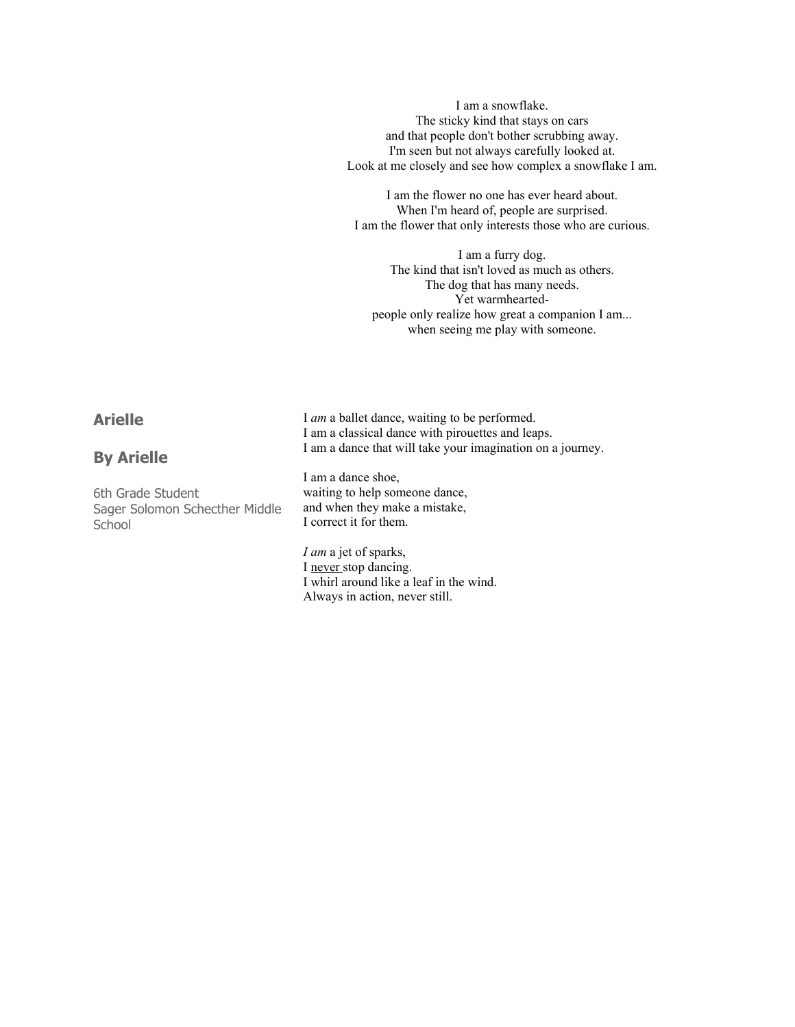I am a snowflake. The sticky kind that stays on cars and that people don't bother scrubbing away. I'm seen but not always carefully looked at. Look at me closely and see how complex a snowflake I am.

I am the flower no one has ever heard about. When I'm heard of, people are surprised. I am the flower that only interests those who are curious.

I am a furry dog. The kind that isn't loved as much as others. The dog that has many needs. Yet warmheartedpeople only realize how great a companion I am... when seeing me play with someone.

#### **Arielle By Arielle**  6th Grade Student Sager Solomon Schecther Middle **School** I *am* a ballet dance, waiting to be performed. I am a classical dance with pirouettes and leaps. I am a dance that will take your imagination on a journey. I am a dance shoe, waiting to help someone dance, and when they make a mistake, I correct it for them. *I am* a jet of sparks, I never stop dancing. I whirl around like a leaf in the wind.

Always in action, never still.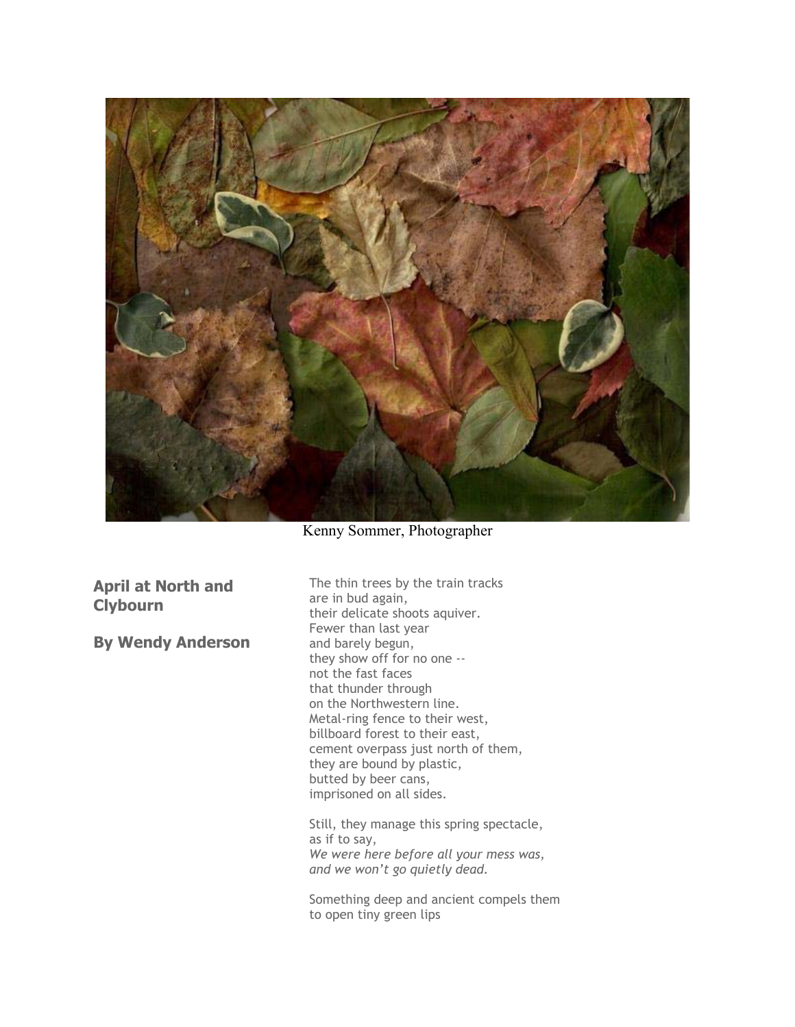

Kenny Sommer, Photographer

**April at North and Clybourn** 

**By Wendy Anderson**

The thin trees by the train tracks are in bud again, their delicate shoots aquiver. Fewer than last year and barely begun, they show off for no one - not the fast faces that thunder through on the Northwestern line. Metal-ring fence to their west, billboard forest to their east, cement overpass just north of them, they are bound by plastic, butted by beer cans, imprisoned on all sides.

Still, they manage this spring spectacle, as if to say, *We were here before all your mess was, and we won't go quietly dead.* 

Something deep and ancient compels them to open tiny green lips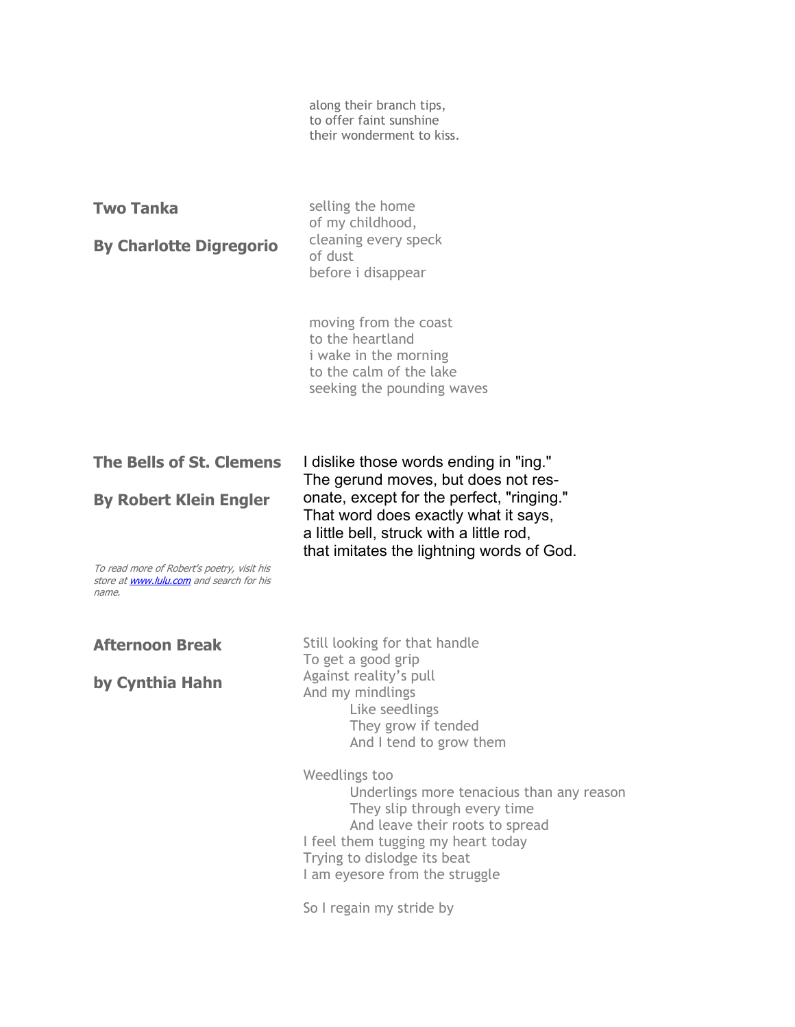along their branch tips, to offer faint sunshine their wonderment to kiss.

| <b>Two Tanka</b><br><b>By Charlotte Digregorio</b>                                                                                      | selling the home<br>of my childhood,<br>cleaning every speck<br>of dust<br>before i disappear                                                                                                                                        |
|-----------------------------------------------------------------------------------------------------------------------------------------|--------------------------------------------------------------------------------------------------------------------------------------------------------------------------------------------------------------------------------------|
|                                                                                                                                         | moving from the coast<br>to the heartland<br><i>i</i> wake in the morning<br>to the calm of the lake<br>seeking the pounding waves                                                                                                   |
| <b>The Bells of St. Clemens</b>                                                                                                         | I dislike those words ending in "ing."<br>The gerund moves, but does not res-                                                                                                                                                        |
| <b>By Robert Klein Engler</b><br>To read more of Robert's poetry, visit his<br>store at <b>www.lulu.com</b> and search for his<br>name. | onate, except for the perfect, "ringing."<br>That word does exactly what it says,<br>a little bell, struck with a little rod,<br>that imitates the lightning words of God.                                                           |
| <b>Afternoon Break</b>                                                                                                                  | Still looking for that handle<br>To get a good grip                                                                                                                                                                                  |
| by Cynthia Hahn                                                                                                                         | Against reality's pull<br>And my mindlings<br>Like seedlings<br>They grow if tended<br>And I tend to grow them                                                                                                                       |
|                                                                                                                                         | Weedlings too<br>Underlings more tenacious than any reason<br>They slip through every time<br>And leave their roots to spread<br>I feel them tugging my heart today<br>Trying to dislodge its beat<br>I am eyesore from the struggle |
|                                                                                                                                         | So I regain my stride by                                                                                                                                                                                                             |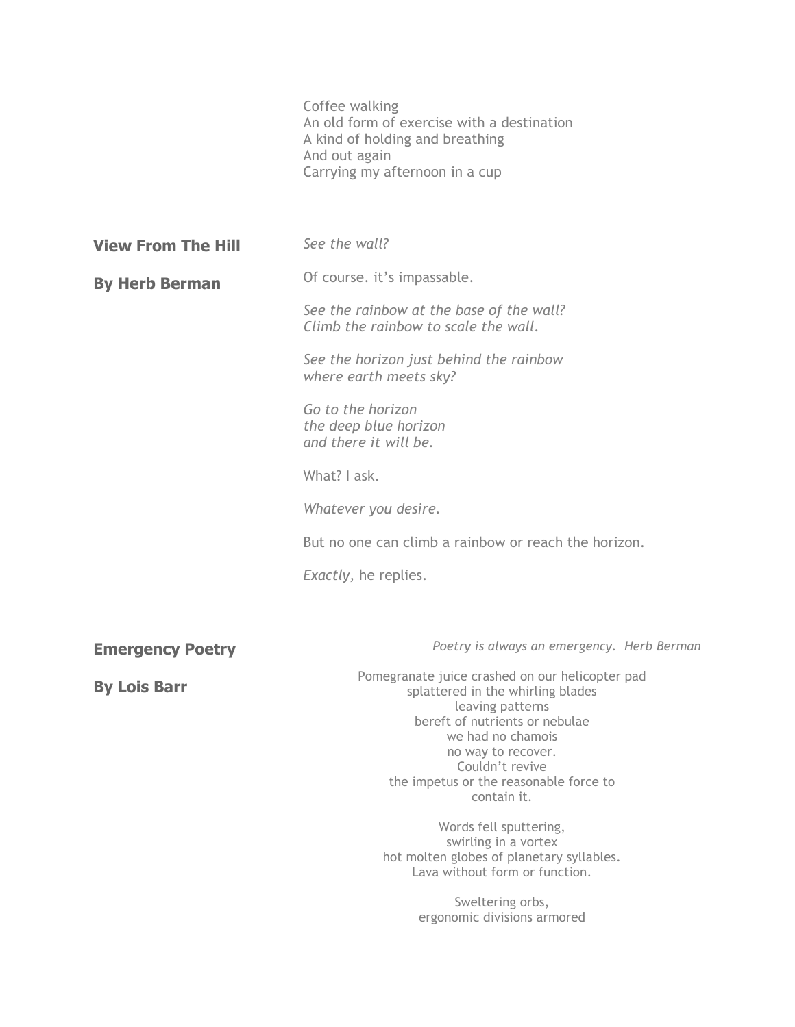|                           | Coffee walking<br>An old form of exercise with a destination<br>A kind of holding and breathing<br>And out again<br>Carrying my afternoon in a cup                                                                                                                |  |
|---------------------------|-------------------------------------------------------------------------------------------------------------------------------------------------------------------------------------------------------------------------------------------------------------------|--|
| <b>View From The Hill</b> | See the wall?                                                                                                                                                                                                                                                     |  |
| <b>By Herb Berman</b>     | Of course. it's impassable.                                                                                                                                                                                                                                       |  |
|                           | See the rainbow at the base of the wall?<br>Climb the rainbow to scale the wall.                                                                                                                                                                                  |  |
|                           | See the horizon just behind the rainbow<br>where earth meets sky?                                                                                                                                                                                                 |  |
|                           | Go to the horizon<br>the deep blue horizon<br>and there it will be.                                                                                                                                                                                               |  |
|                           | What? I ask.                                                                                                                                                                                                                                                      |  |
|                           | Whatever you desire.                                                                                                                                                                                                                                              |  |
|                           | But no one can climb a rainbow or reach the horizon.                                                                                                                                                                                                              |  |
|                           | Exactly, he replies.                                                                                                                                                                                                                                              |  |
|                           |                                                                                                                                                                                                                                                                   |  |
| <b>Emergency Poetry</b>   | Poetry is always an emergency. Herb Berman                                                                                                                                                                                                                        |  |
| <b>By Lois Barr</b>       | Pomegranate juice crashed on our helicopter pad<br>splattered in the whirling blades<br>leaving patterns<br>bereft of nutrients or nebulae<br>we had no chamois<br>no way to recover.<br>Couldn't revive<br>the impetus or the reasonable force to<br>contain it. |  |
|                           | Words fell sputtering,<br>swirling in a vortex                                                                                                                                                                                                                    |  |

swirling in a vortex hot molten globes of planetary syllables. Lava without form or function.

> Sweltering orbs, ergonomic divisions armored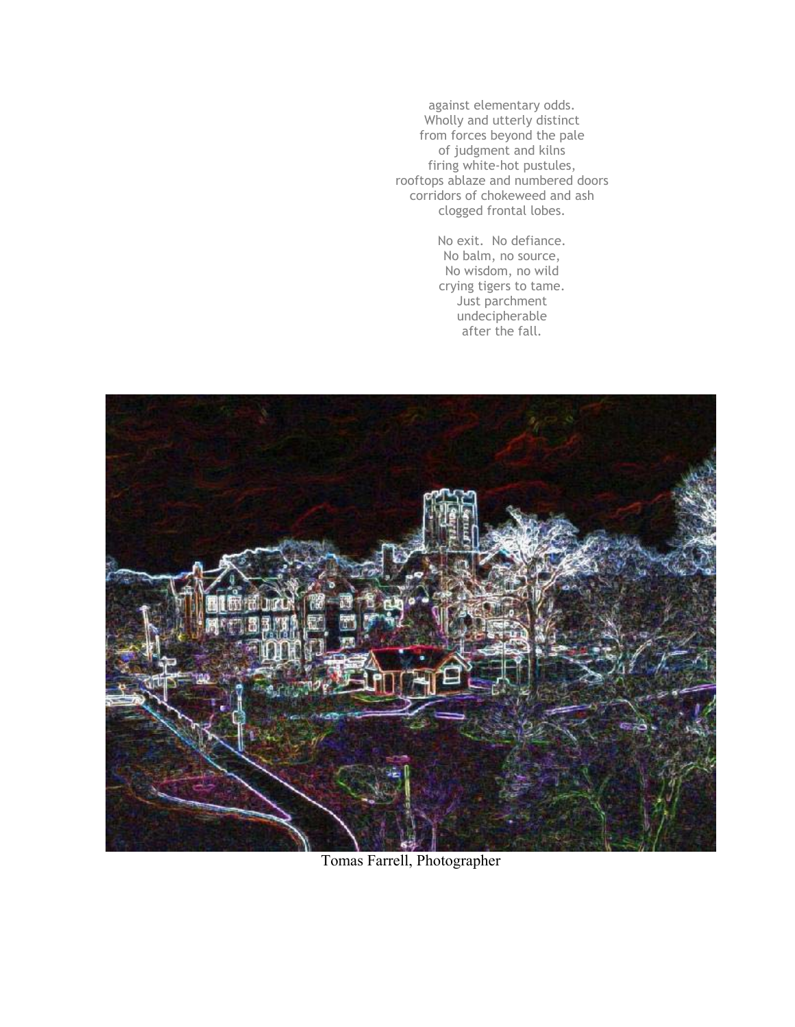against elementary odds. Wholly and utterly distinct from forces beyond the pale of judgment and kilns firing white-hot pustules, rooftops ablaze and numbered doors corridors of chokeweed and ash clogged frontal lobes.

> No exit. No defiance. No balm, no source, No wisdom, no wild crying tigers to tame. Just parchment undecipherable after the fall.



Tomas Farrell, Photographer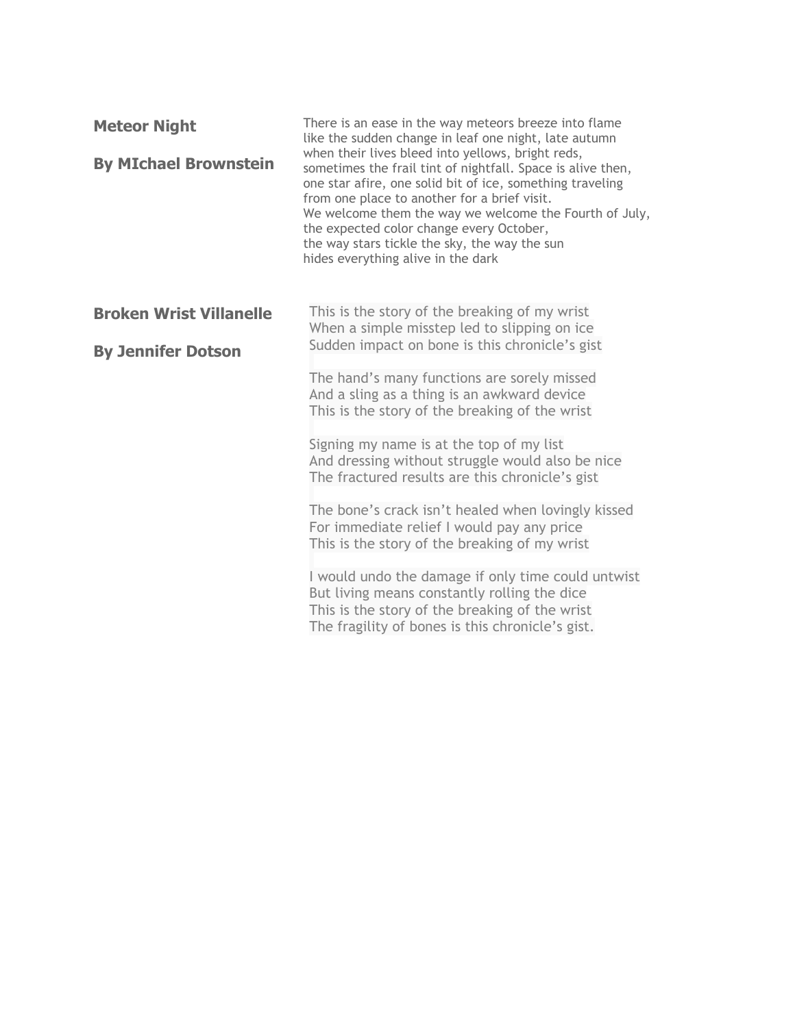| <b>Meteor Night</b><br><b>By MIchael Brownstein</b>         | There is an ease in the way meteors breeze into flame<br>like the sudden change in leaf one night, late autumn<br>when their lives bleed into yellows, bright reds,<br>sometimes the frail tint of nightfall. Space is alive then,<br>one star afire, one solid bit of ice, something traveling<br>from one place to another for a brief visit.<br>We welcome them the way we welcome the Fourth of July,<br>the expected color change every October,<br>the way stars tickle the sky, the way the sun<br>hides everything alive in the dark                                                                                                                                                                                                                                                                        |
|-------------------------------------------------------------|---------------------------------------------------------------------------------------------------------------------------------------------------------------------------------------------------------------------------------------------------------------------------------------------------------------------------------------------------------------------------------------------------------------------------------------------------------------------------------------------------------------------------------------------------------------------------------------------------------------------------------------------------------------------------------------------------------------------------------------------------------------------------------------------------------------------|
| <b>Broken Wrist Villanelle</b><br><b>By Jennifer Dotson</b> | This is the story of the breaking of my wrist<br>When a simple misstep led to slipping on ice<br>Sudden impact on bone is this chronicle's gist<br>The hand's many functions are sorely missed<br>And a sling as a thing is an awkward device<br>This is the story of the breaking of the wrist<br>Signing my name is at the top of my list<br>And dressing without struggle would also be nice<br>The fractured results are this chronicle's gist<br>The bone's crack isn't healed when lovingly kissed<br>For immediate relief I would pay any price<br>This is the story of the breaking of my wrist<br>I would undo the damage if only time could untwist<br>But living means constantly rolling the dice<br>This is the story of the breaking of the wrist<br>The fragility of bones is this chronicle's gist. |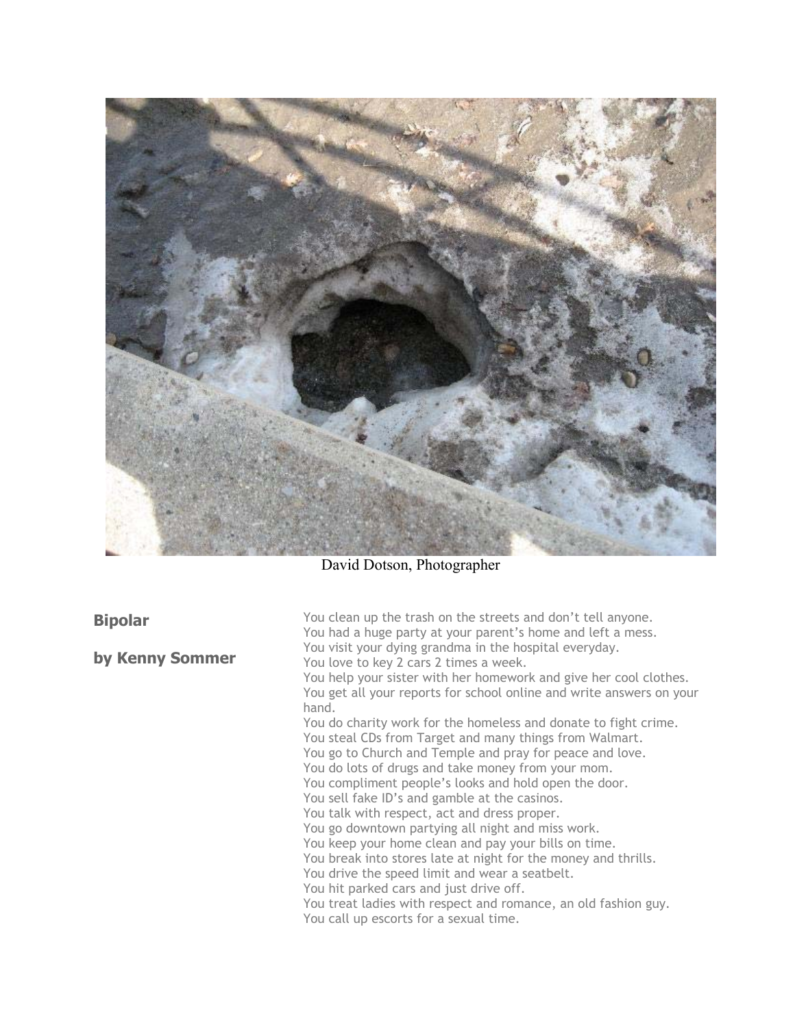

# David Dotson, Photographer

| <b>Bipolar</b>  | You clean up the trash on the streets and don't tell anyone.<br>You had a huge party at your parent's home and left a mess.                                                                                                                                                                                                                                                                                                                                                                                                                                                                                                                                                                                                                                                                    |
|-----------------|------------------------------------------------------------------------------------------------------------------------------------------------------------------------------------------------------------------------------------------------------------------------------------------------------------------------------------------------------------------------------------------------------------------------------------------------------------------------------------------------------------------------------------------------------------------------------------------------------------------------------------------------------------------------------------------------------------------------------------------------------------------------------------------------|
| by Kenny Sommer | You visit your dying grandma in the hospital everyday.<br>You love to key 2 cars 2 times a week.<br>You help your sister with her homework and give her cool clothes.<br>You get all your reports for school online and write answers on your<br>hand.                                                                                                                                                                                                                                                                                                                                                                                                                                                                                                                                         |
|                 | You do charity work for the homeless and donate to fight crime.<br>You steal CDs from Target and many things from Walmart.<br>You go to Church and Temple and pray for peace and love.<br>You do lots of drugs and take money from your mom.<br>You compliment people's looks and hold open the door.<br>You sell fake ID's and gamble at the casinos.<br>You talk with respect, act and dress proper.<br>You go downtown partying all night and miss work.<br>You keep your home clean and pay your bills on time.<br>You break into stores late at night for the money and thrills.<br>You drive the speed limit and wear a seatbelt.<br>You hit parked cars and just drive off.<br>You treat ladies with respect and romance, an old fashion guy.<br>You call up escorts for a sexual time. |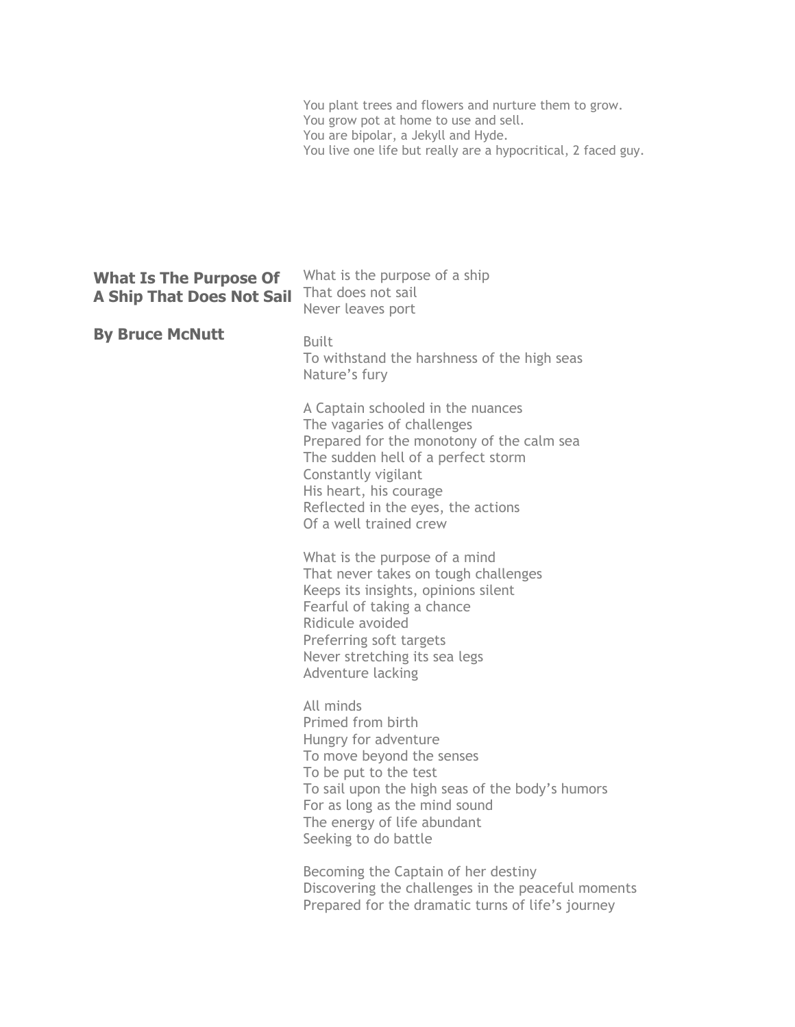You plant trees and flowers and nurture them to grow. You grow pot at home to use and sell. You are bipolar, a Jekyll and Hyde. You live one life but really are a hypocritical, 2 faced guy.

| <b>What Is The Purpose Of</b><br><b>A Ship That Does Not Sail</b> | What is the purpose of a ship<br>That does not sail<br>Never leaves port                                                                                                                                                                                            |
|-------------------------------------------------------------------|---------------------------------------------------------------------------------------------------------------------------------------------------------------------------------------------------------------------------------------------------------------------|
| <b>By Bruce McNutt</b>                                            | <b>Built</b><br>To withstand the harshness of the high seas<br>Nature's fury                                                                                                                                                                                        |
|                                                                   | A Captain schooled in the nuances<br>The vagaries of challenges<br>Prepared for the monotony of the calm sea<br>The sudden hell of a perfect storm<br>Constantly vigilant<br>His heart, his courage<br>Reflected in the eyes, the actions<br>Of a well trained crew |
|                                                                   | What is the purpose of a mind<br>That never takes on tough challenges<br>Keeps its insights, opinions silent<br>Fearful of taking a chance<br>Ridicule avoided<br>Preferring soft targets<br>Never stretching its sea legs<br>Adventure lacking                     |
|                                                                   | All minds<br>Primed from birth<br>Hungry for adventure<br>To move beyond the senses<br>To be put to the test<br>To sail upon the high seas of the body's humors<br>For as long as the mind sound<br>The energy of life abundant<br>Seeking to do battle             |
|                                                                   | Becoming the Captain of her destiny<br>Discovering the challenges in the peaceful moments<br>Prepared for the dramatic turns of life's journey                                                                                                                      |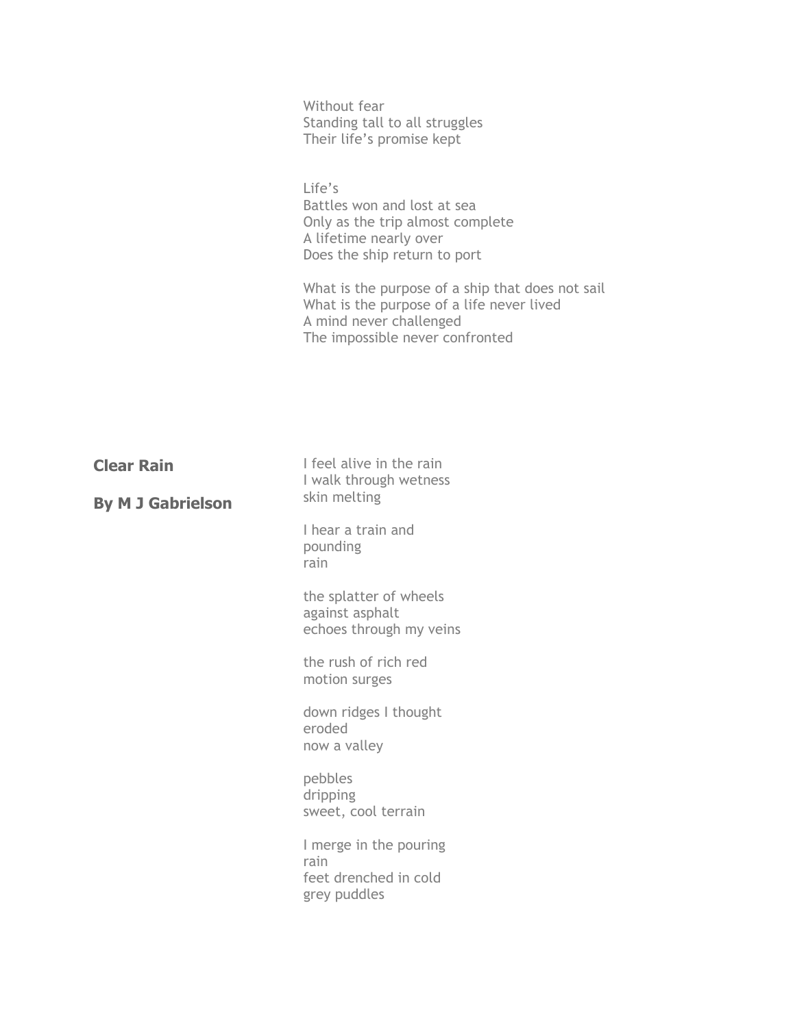Without fear Standing tall to all struggles Their life's promise kept

Life's Battles won and lost at sea Only as the trip almost complete A lifetime nearly over Does the ship return to port

What is the purpose of a ship that does not sail What is the purpose of a life never lived A mind never challenged The impossible never confronted

| <b>Clear Rain</b><br><b>By M J Gabrielson</b> | I feel alive in the rain<br>I walk through wetness<br>skin melting      |
|-----------------------------------------------|-------------------------------------------------------------------------|
|                                               | I hear a train and<br>pounding<br>rain                                  |
|                                               | the splatter of wheels<br>against asphalt<br>echoes through my veins    |
|                                               | the rush of rich red<br>motion surges                                   |
|                                               | down ridges I thought<br>eroded<br>now a valley                         |
|                                               | pebbles<br>dripping<br>sweet, cool terrain                              |
|                                               | I merge in the pouring<br>rain<br>feet drenched in cold<br>grey puddles |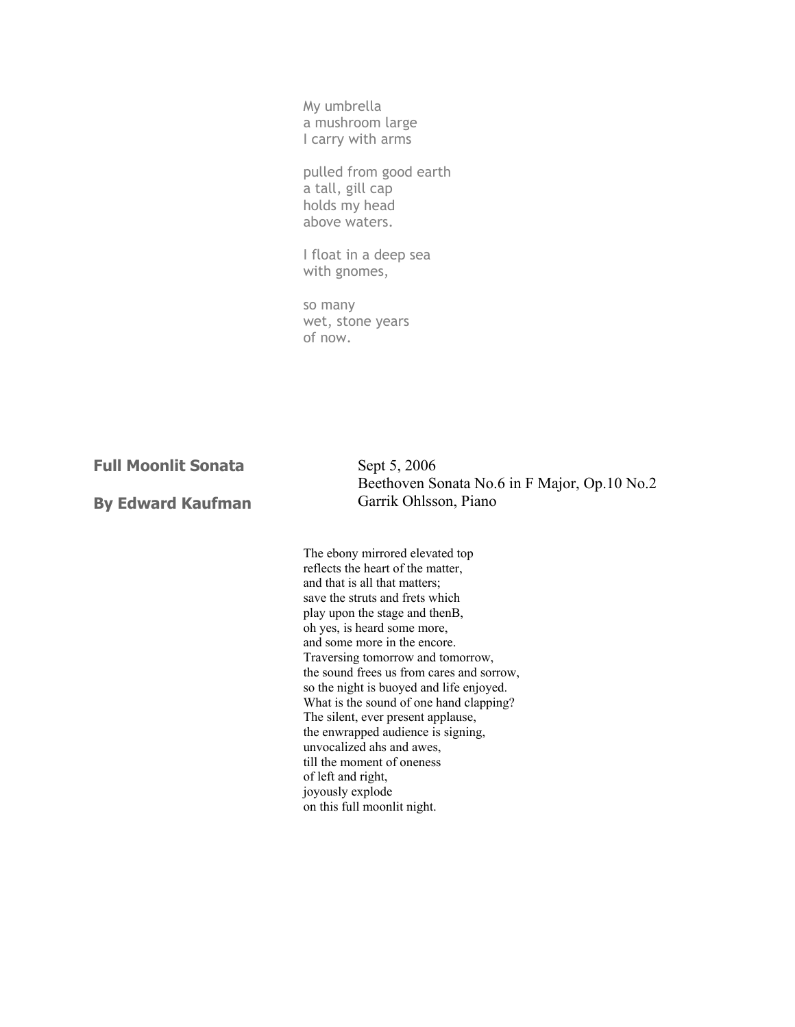My umbrella a mushroom large I carry with arms

pulled from good earth a tall, gill cap holds my head above waters.

I float in a deep sea with gnomes,

so many wet, stone years of now.

### **Full Moonlit Sonata**

#### **By Edward Kaufman**

 Sept 5, 2006 Beethoven Sonata No.6 in F Major, Op.10 No.2 Garrik Ohlsson, Piano

The ebony mirrored elevated top reflects the heart of the matter, and that is all that matters; save the struts and frets which play upon the stage and thenB, oh yes, is heard some more, and some more in the encore. Traversing tomorrow and tomorrow, the sound frees us from cares and sorrow, so the night is buoyed and life enjoyed. What is the sound of one hand clapping? The silent, ever present applause, the enwrapped audience is signing, unvocalized ahs and awes, till the moment of oneness of left and right, joyously explode on this full moonlit night.